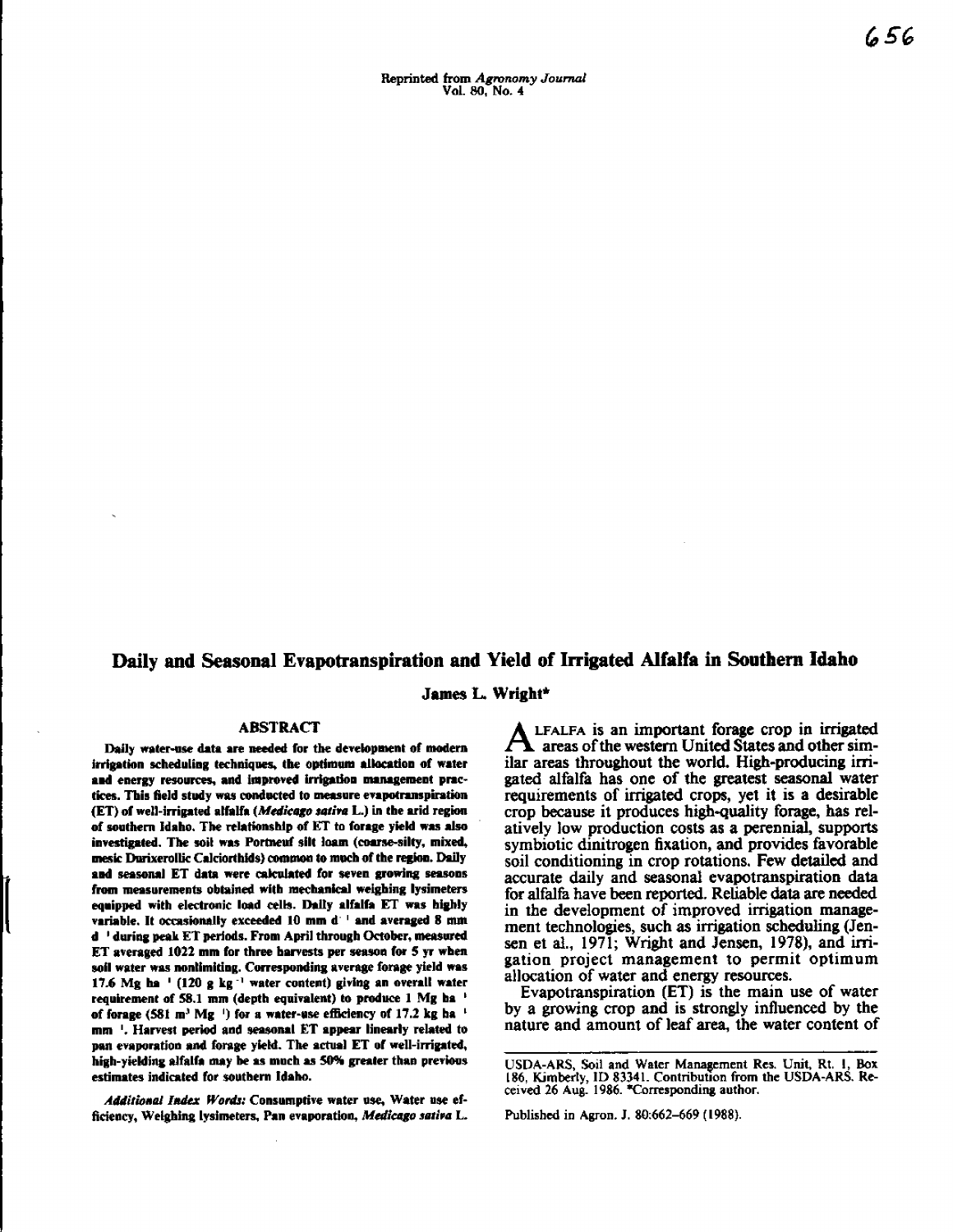# **Daily and Seasonal Evapotranspiration and Yield of Irrigated Alfalfa in Southern Idaho**

**James** L **Wright\***

#### **ABSTRACT**

Daily water-use data are needed for the development of modern irrigation scheduling techniques, the optimum allocation of water **and** energy resources, and improved irrigation management practices. This field study was conducted to **measure evapotranspiration (ET) of well-irrigated alfalfa** *(Medicago satin* **L.) in** the arid region of southern Idaho. The relationship of ET to forage yield was also investigated. The soil was Portneuf **silt loam (coarse-silty, mixed,** meek Durixerollk Calciorthids) **common to much of the region. Daily** and seasonal ET data were calculated for seven growing seasons from measurements obtained with mechanical weighing lysimeters equipped with electronic load cells. Daily alfalfa ET was highly variable. It occasionally exceeded 10 mm d ' and averaged 8 nun d ' during peak ET periods. From April through October, measured ET averaged 1022 **mm** for three harvests per season for 5 yr when soil water was **nonlimitiog.** Corresponding average forage yield was **17.6 Mg ha** ' (120 g kg -' water content) giving an overall water requirement of 58.1 mm (depth equivalent) to produce 1 Mg ha of forage (581 m<sup>3</sup> Mg<sup>1</sup>) for a water-use efficiency of 17.2 kg ha<sup>1</sup> mm '. Harvest period and seasonal ET appear linearly related to pan evaporation and forage yield. The actual ET of well-irrigated, high-yielding alfalfa may be as much as 50% greater than previous estimates indicated for southern Idaho.

*Additional Index Words:* Consumptive water use, Water use **efficiency, Weighing lysimeters, Pan evaporation,** *Medienga satira* **L.**

A LFALFA is an important forage crop in irrigated<br>areas of the western United States and other sim-<br>ilse agency that when the world. High ageduates ini-LFALFA iS an important forage crop in irrigated ilar areas throughout the world. High-producing irrigated alfalfa has one of the greatest seasonal water requirements of irrigated crops, yet it is a desirable crop because it produces high-quality forage, has relatively low production costs as a perennial, supports symbiotic dinitrogen fixation, and provides favorable soil conditioning in crop rotations. Few detailed and accurate daily and seasonal evapotranspiration data for alfalfa have been reported. Reliable data are needed in the development of improved irrigation management technologies, such as irrigation scheduling (Jensen et al., 1971; Wright and Jensen, 1978), and irrigation project management to permit optimum allocation of water and energy resources.

Evapotranspiration (ET) is the main use of water by a growing crop and is strongly influenced by **the nature and amount of leaf area, the water content of**

**USDA-ARS, Soii** and Water Management Res. Unit, Rt. I, Box 186, Kimberly, ID 83341. Contribution **from the** USDA-ARS. Received 26 Aug. 1986. \*Corresponding author.

Published in Agron. J. 80:662-669 **(1988).**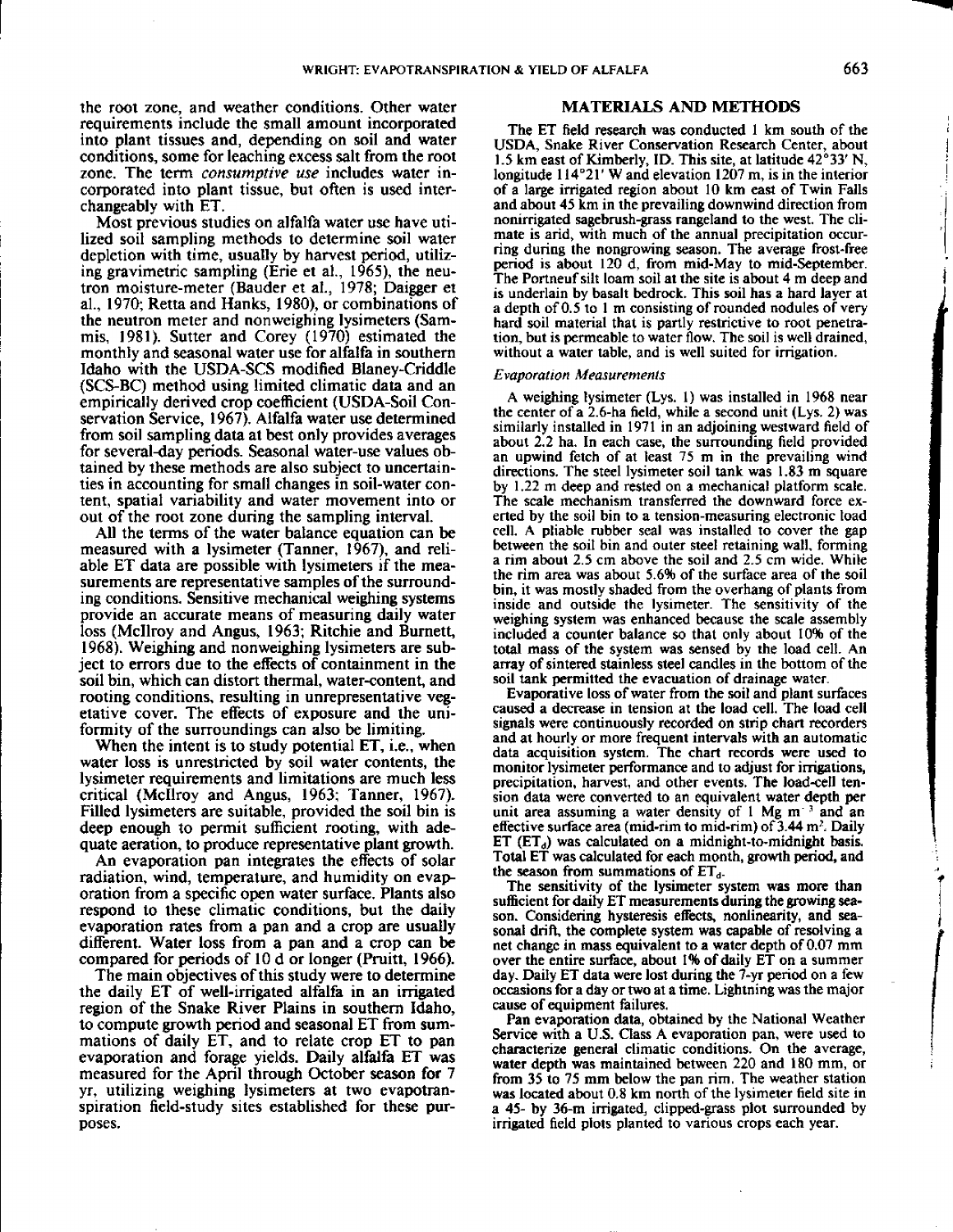the root zone, and weather conditions. Other water requirements include the small amount incorporated into plant tissues and, depending on soil and water conditions, some for leaching excess salt from the root zone. The term *consumptive use* includes water incorporated into plant tissue, but often is used interchangeably with ET.

Most previous studies on alfalfa water use have utilized soil sampling methods to determine soil water depletion with time, usually by harvest period, utilizing gravimetric sampling (Erie et al., 1965), the neutron moisture-meter (Bauder et al., 1978; Daigger et al., 1970; Retta and Hanks, 1980), or combinations of the neutron meter and nonweighing lysimeters (Sammis, 1981). Sutter and Corey (1970) estimated the monthly and seasonal water use for alfalfa in southern Idaho with the USDA-SCS modified Blaney-Criddle (SCS-BC) method using limited climatic data and an empirically derived crop coefficient (USDA-Soil Conservation Service, 1967). Alfalfa water use determined from soil sampling data at best only provides averages for several-day periods. Seasonal water-use values obtained by these methods are also subject to uncertainties in accounting for small changes in soil-water content, spatial variability and water movement into or out of the root zone during the sampling interval.

All the terms of the water balance equation can be measured with a lysimeter (Tanner, 1967), and reliable ET data are possible with lysimeters if the measurements are representative samples of the surrounding conditions. Sensitive mechanical weighing systems provide an accurate means of measuring daily water loss (Mcllroy and Angus, 1963; Ritchie and Burnett, 1968). Weighing and nonweighing lysimeters are subject to errors due to the **effects** of containment in the soil bin, which can distort thermal, water-content, and rooting conditions, resulting in unrepresentative vegetative cover. The effects of exposure and the uniformity of the surroundings can also be limiting.

When the intent is to study potential ET, i.e., when water loss is unrestricted by soil water contents, the lysimeter requirements and limitations are much less critical (Mcllroy and Angus, 1963; Tanner, 1967). Filled lysimeters are suitable, provided the soil bin is deep enough to permit sufficient rooting, with adequate aeration, to produce representative plant growth.

An evaporation pan integrates the effects of solar radiation, wind, temperature, and humidity on evaporation from a specific open water surface. Plants also respond to these climatic conditions, but the daily evaporation rates from a pan and a crop are usually different. Water loss from a pan and a crop can be compared for periods of 10 d or longer (Pruitt, 1966).

The main objectives of this study were to determine the daily ET of well-irrigated alfalfa in an irrigated region of the Snake River Plains in southern Idaho, to compute growth period and seasonal ET from summations of daily ET, and to relate crop ET to pan evaporation and forage yields. Daily alfalfa ET was measured for the April through October season for 7 yr, utilizing weighing lysimeters at two evapotranspiration field-study sites established for these purposes.

#### **MATERIALS AND METHODS**

The ET field research was conducted 1 km south of the USDA, Snake River Conservation Research Center, about 1.5 km east of Kimberly, ID. This site, at latitude 42°33' N, longitude 114°21' W and elevation 1207 m, is in the interior of a large irrigated region about 10 km east of Twin Falls and about 45 km in the prevailing downwind direction from nonirrigated sagebrush-grass rangeland to the west. The climate is arid, with much of the annual precipitation occurring during the nongrowing season. The average frost-free period is about 120 d, from mid-May to mid-September. The Portneuf silt loam soil at the site is about 4 m deep and is underlain by basalt bedrock. This soil has a hard layer at a depth of 0.5 to 1 m consisting of rounded nodules of very hard soil material that is partly restrictive to root penetration, but is permeable to water flow. The soil is well drained, without a water table, and is well suited for irrigation.

#### *Evaporation Measurements*

A weighing lysimeter (Lys. 1) was installed in 1968 near the center of a 2.6-ha field, while a second unit (Lys. 2) was similarly installed in 1971 in an adjoining westward field of about 2.2 ha. In each case, the surrounding field provided an upwind fetch of at least 75 m in the prevailing wind directions. The steel lysimeter soil tank was 1.83 m square by 1.22 m deep and rested on a mechanical platform scale. The scale mechanism transferred the downward force exerted by the soil bin to a tension-measuring electronic load cell. A pliable rubber seal was installed to cover the gap between the soil bin and outer steel retaining wall, forming a rim about 2.5 cm above the soil and 2.5 cm wide. While the rim area was about 5.6% of the surface area of the soil bin, it was mostly shaded from the overhang of plants from inside and outside the lysimeter. The sensitivity of the weighing system was enhanced because the scale assembly included a counter balance so that only about 10% of the total mass of the system was sensed by the load cell. An array of sintered stainless steel candles in the bottom of the soil tank permitted the evacuation of drainage water.

Evaporative loss of water from the soil and plant surfaces caused a decrease in tension at the load cell. The load cell signals were continuously recorded on strip chart recorders and at hourly or more frequent intervals with an automatic data acquisition system. The chart records were used to monitor lysimeter performance and to adjust for irrigations, precipitation, harvest, and other events. The load-cell tension data were converted to an equivalent water depth per unit area assuming a water density of 1 Mg m<sup>-3</sup> and an effective surface area (mid-rim to mid-rim) of  $3.44 \text{ m}^2$ . Daily ET  $(ET<sub>d</sub>)$  was calculated on a midnight-to-midnight basis. Total ET was calculated for each month, growth period, and the season from summations of  $ET<sub>d</sub>$ .

The sensitivity of the lysimeter system was more than sufficient for daily ET measurements during the growing season. Considering hysteresis effects, nonlinearity, and seasonal drift, the complete system was capable of resolving a net change in mass equivalent to a water depth of 0.07 mm over the entire surface, about 1% of daily ET on a summer day. Daily ET data were lost during the 7-yr period on a few occasions for a day or two at a time. Lightning was the major cause of equipment failures.

Pan evaporation data, obtained by the National Weather Service with a U.S. Class A evaporation pan, were used to characterize general climatic conditions. On the average, water depth was maintained between 220 and 180 mm, or from 35 to 75 mm below the pan rim. The weather station was located about 0.8 km north of the lysimeter field site in a 45- by 36-m irrigated, clipped-grass plot surrounded by irrigated field plots planted to various crops each year.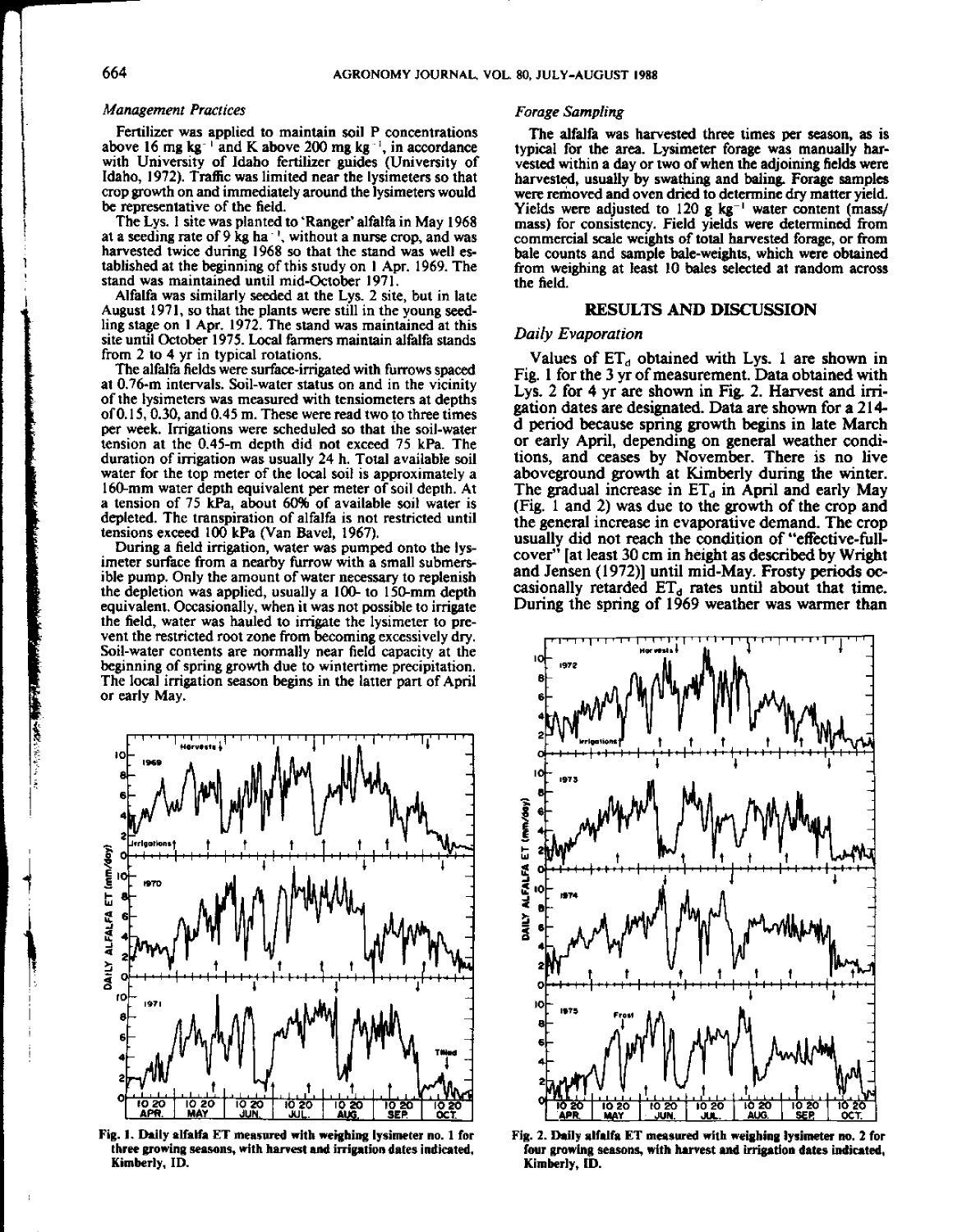#### *Management Practices*

Fertilizer was applied to maintain soil P concentrations above 16 mg kg<sup>-1</sup> and K above 200 mg kg<sup>-1</sup>, in accordance with University of Idaho fertilizer guides (University of Idaho, 1972). Traffic was limited near the lysimeters so that crop growth on and immediately around the lysimeters would be representative of the field.

The Lys. I site was planted to 'Ranger' alfalfa in May 1968 at a seeding rate of 9 kg ha<sup> $\pm$ </sup>, without a nurse crop, and was harvested twice during 1968 so that the stand was well established at the beginning of this study on 1 Apr. 1969. The stand was maintained until mid-October 1971.

Alfalfa was similarly seeded at the Lys. 2 site, but in late August 1971, so that the plants were still in the young seedling stage on 1 Apr. 1972. The stand was maintained at this site until October 1975. Local farmers maintain alfalfa stands from 2 to 4 yr in typical rotations.

The alfalfa fields were surface-irrigated with furrows spaced at 0.76-m intervals. Soil-water status on and in the vicinity of the lysimeters was measured with tensiometers at depths of 0.15, 0.30, and 0.45 m. These were read two to three times per week. Irrigations were scheduled so that the soil-water tension at the 0.45-m depth did not exceed 75 kPa. The duration of irrigation was usually 24 h. Total available soil water for the top meter of the local soil is approximately a 160-mm water depth equivalent per meter of soil depth. At a tension of 75 kPa, about 60% of available soil water is depleted. The transpiration of alfalfa is not restricted until tensions exceed 100 kPa (Van Bavel, 1967).

During a field irrigation, water was pumped onto the lysimeter surface from a nearby furrow with a small submersible pump. Only the amount of water necessary to replenish the depletion was applied, usually a 100- to 150-mm depth equivalent. Occasionally, when it was not possible to irrigate the field, water was hauled to irrigate the lysimeter to prevent the restricted root zone from becoming excessively dry. Soil-water contents are normally near field capacity at the beginning of spring growth due to wintertime precipitation. The local irrigation season begins in the latter part of April or early May.



**Fig. 1. Daily alfalfa ET measured with weighing lysimeter no. 1 for** three growing seasons, with harvest and irrigation dates indicated, **Kimberly, ID.**

#### *Forage Sampling*

The alfalfa was harvested three times per season, as is typical for the area. Lysimeter forage was manually harvested within a day or two of when the adjoining fields were harvested, usually by swathing and baling. Forage samples were removed and oven dried to determine dry matter yield. Yields were adjusted to 120 g  $kg^{-1}$  water content (mass/ mass) for consistency. Field yields were determined from commercial scale weights of total harvested forage, or from bale counts and sample bale-weights, which were obtained from weighing at least 10 bales selected at random across the field.

## **RESULTS AND DISCUSSION**

#### *Daily Evaporation*

Values of  $ET_d$  obtained with Lys. 1 are shown in Fig. 1 for the 3 yr of measurement. Data obtained with Lys. 2 for 4 yr are shown in Fig. 2. **Harvest and irrigation dates are designated. Data are shown for a 214** d period because spring growth begins in late March or early April, depending on general weather conditions, and ceases by November. There is no live aboveground growth at Kimberly during the winter. The gradual increase in  $ET_d$  in April and early May (Fig. 1 and 2) was due to the growth of the crop and the general increase in evaporative demand. The crop usually did not reach the condition of "effective-fullcover" [at least 30 cm in height as described by Wright and Jensen (1972)] until mid-May. Frosty periods occasionally retarded  $ET_d$  rates until about that time. During the spring of 1969 weather was warmer than



Fig. 2. Daily alfalfa ET measured with weighing lysimeter no. 2 for four growing seasons, with harvest and irrigation dates indicated, Kimberly, ID.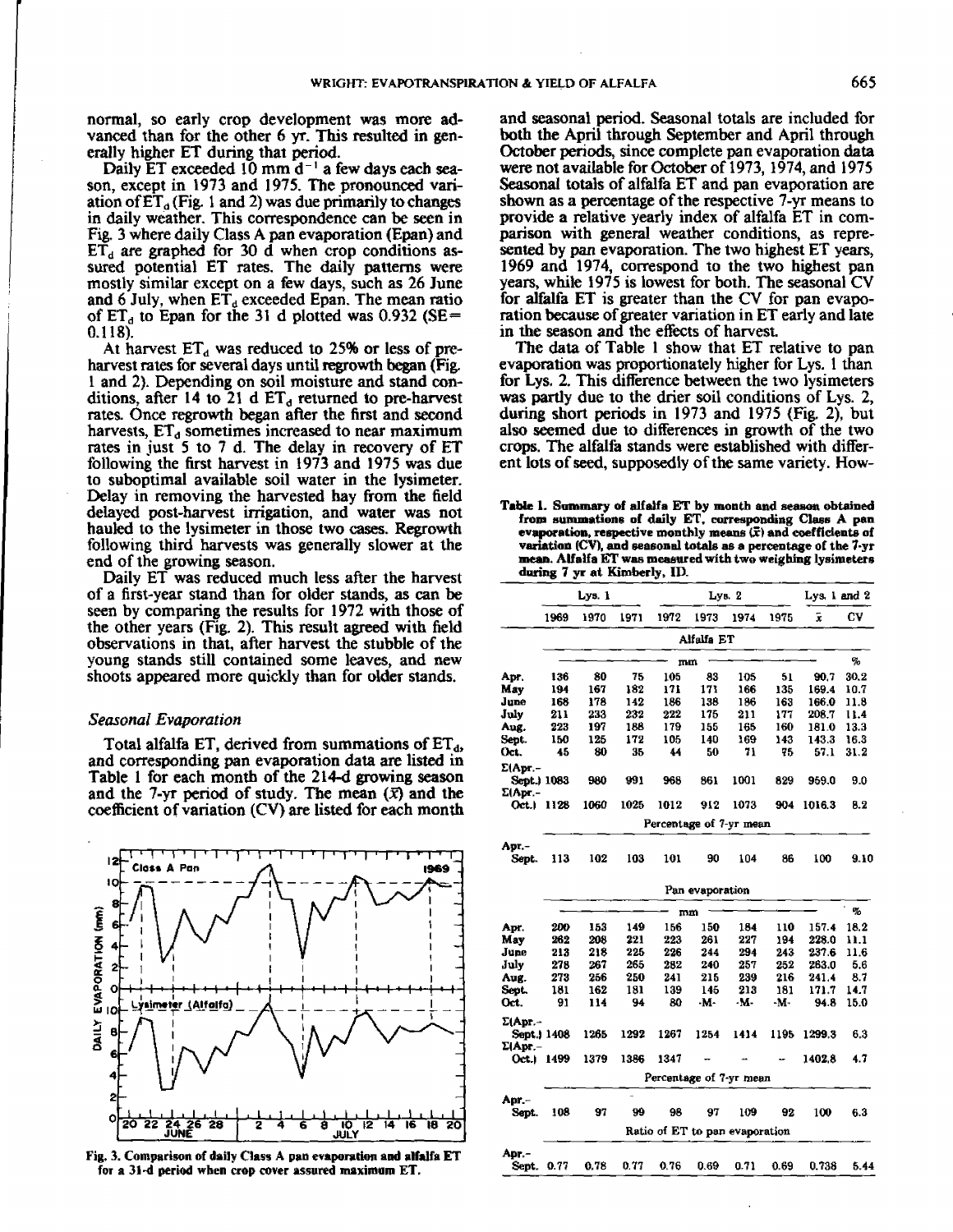normal, so early crop development was more advanced than for the other 6 yr. This resulted in generally higher ET during that period.

Daily ET exceeded 10 mm  $d^{-1}$  a few days each season, except in 1973 and 1975. The pronounced variation of  $ET_a$  (Fig. 1 and 2) was due primarily to changes in daily weather. This correspondence can be seen in Fig. 3 where daily Class A pan evaporation (Epan) and  $E\overline{T}_d$  are graphed for 30 d when crop conditions assured potential ET rates. The daily patterns were mostly similar except on a few days, such as 26 June and 6 July, when  $ET_d$  exceeded Epan. The mean ratio of  $ET_d$  to Epan for the 31 d plotted was 0.932 (SE= 0.118).

At harvest  $ET<sub>d</sub>$  was reduced to 25% or less of preharvest rates for several days until regrowth began (Fig. 1 and 2). Depending on soil moisture and stand conditions, after 14 to 21 d  $ET<sub>d</sub>$  returned to pre-harvest rates. Once regrowth began after the first and second harvests,  $ET<sub>d</sub>$  sometimes increased to near maximum rates in just 5 to 7 d. The delay in recovery of ET following the first harvest in 1973 and 1975 was due to suboptimal available soil water in the lysimeter. Delay in removing the harvested hay from the field delayed post-harvest irrigation, and water was not hauled to the lysimeter in those two cases. Regrowth following third harvests was generally slower at the end of the growing season.

Daily ET was reduced much less after the harvest of a first-year stand than for older stands, as can be seen by comparing the results for 1972 with those of the other years (Fig. 2). This result agreed with field observations in that, after harvest the stubble of the young stands still contained some leaves, and new shoots appeared more quickly than for older stands.

## *Seasonal Evaporation*

Total alfalfa ET, derived from summations of  $ET_d$ , and corresponding pan evaporation data are listed in Table 1 for each month of the 214-d growing season and the 7-yr period of study. The mean  $(\bar{x})$  and the coefficient of variation (CV) are listed for each month

.<br>آ ' **1 '1 1'I '1 'I\_ 12** Class **A** Pan **1969** ù **8 -** <sup>I</sup> **1 6 4 4 <sup>2</sup>** - **<sup>I</sup> <sup>i</sup>** - 1 **<sup>I</sup> tX0 0- 0** - <sup>I</sup> **1.1** I • **I** • **<sup>1</sup> Or- vs** 4 r **r (Alfalfa) la I )- B .71 6 4 2 .1 <sup>I</sup> .1 <sup>I</sup> .1 .1 - 20 22 24 26 28 <del>|</del> 2 4 6 8 10 2 4 16 18 20**<br>20 22 24 26 28 | 2 4 6 9 10 2 4 16 18 20 **0** JUNE <u>III DI L</u>

Fig. 3. Comparison of daily Class A pan evaporation and alfalfa ET for a 31-d period when crop cover assured maximum ET.

and seasonal period. Seasonal totals are included for both the April through September and April through October periods, since complete pan evaporation data were not available for October of 1973, 1974, and 1975 Seasonal totals of alfalfa ET and pan evaporation are shown as a percentage of the respective 7-yr means to provide a relative yearly index of alfalfa ET in comparison with general weather conditions, as represented by pan evaporation. The two highest ET years, 1969 and 1974, correspond to the two highest pan years, while 1975 is lowest for both. The seasonal CV for alfalfa ET is greater than the CV for pan evaporation because of greater variation in ET early and late in the season and the effects of harvest.

The data of Table 1 show that ET relative to pan evaporation was proportionately higher for Lys. I than for Lys. 2. This difference between the two lysimeters was partly due to the drier soil conditions of Lys. 2, during short periods in 1973 and 1975 (Fig. 2), but also seemed due to differences in growth of the two crops. The alfalfa stands were established with different lots of seed, supposedly of the same variety. flow-

Table 1. Summary of alfalfa ET by month and season obtained from summations of daily ET. corresponding *Class* A pan evaporation, respective monthly means  $(\bar{x})$  and coefficients of variation (CV), and seasonal totals as a percentage of the 7-yr mean. Alfalfa ET was measured with two weighing lysimeters during 7 yr at Kimberly, ID.

|                  |                                | Lys. 1                  |      | Lys. 2                  |                 |      |      | Lys. $1$ and $2$ |      |  |  |
|------------------|--------------------------------|-------------------------|------|-------------------------|-----------------|------|------|------------------|------|--|--|
|                  | 1969                           | 1970                    | 1971 | 1972                    | 1973            | 1974 | 1975 | $\bar{x}$        | CV   |  |  |
|                  |                                |                         |      |                         | Alfalfa ET      |      |      |                  |      |  |  |
|                  |                                |                         |      |                         | mm              |      |      |                  | %    |  |  |
| Apr.             | 136                            | 80                      | 75   | 105                     | 83              | 105  | 51   | 90.7             | 30.2 |  |  |
| May              | 194                            | 167                     | 182  | 171                     | 171             | 166  | 135  | 169.4            | 10.7 |  |  |
| June             | 168                            | 178                     | 142  | 186                     | 138             | 186  | 163  | 166.0            | 11.8 |  |  |
| July             | 211                            | 233                     | 232  | 222                     | 175             | 211  | 177  | 208.7            | 11.4 |  |  |
| Aug.             | 223                            | 197                     | 188  | 179                     | 155             | 165  | 160  | 181.0            | 13.3 |  |  |
| Sent.            | 150                            | 125                     | 172  | 105                     | 140             | 169  | 143  | 143.3            | 16.3 |  |  |
| Oct.             | 45                             | 80                      | 35   | 44                      | 50              | 71   | 75   | 57.1             | 31.2 |  |  |
| Σ(Apr. –         |                                |                         |      |                         |                 |      |      |                  |      |  |  |
| Sept.) 1083      |                                | 980                     | 991  | 968                     | 861             | 1001 | 829  | 959.0            | 9.0  |  |  |
| $\Sigma$ (Apr. - |                                |                         |      |                         |                 |      |      |                  |      |  |  |
| Oct 1            | 1128                           | 1060                    | 1025 | 1012                    | 912             | 1073 | 904  | 1016.3           | 8.2  |  |  |
|                  |                                | Percentage of 7-yr mean |      |                         |                 |      |      |                  |      |  |  |
| Apr.-            |                                |                         |      |                         |                 |      |      |                  |      |  |  |
| Sept.            | 113                            | 102                     | 103  | 101                     | 90              | 104  | 86   | 100              | 9.10 |  |  |
|                  |                                |                         |      |                         | Pan evaporation |      |      |                  |      |  |  |
|                  |                                |                         |      |                         | mm              |      |      |                  | %    |  |  |
| Apr.             | 200                            | 153                     | 149  | 156                     | 150             | 184  | 110  | 157.4            | 18.2 |  |  |
| May              | 262                            | 208                     | 221  | 223                     | 261             | 227  | 194  | 228.0            | 11.1 |  |  |
| June             | 213                            | 218                     | 225  | 226                     | 244             | 294  | 243  | 237.6            | 11.6 |  |  |
| July             | 278                            | 267                     | 265  | 282                     | 240             | 257  | 252  | 263.0            | 5.6  |  |  |
| Aug.             | 273                            | 256                     | 250  | 241                     | 215             | 239  | 216  | 241.4            | 8.7  |  |  |
| Sept.            | 181                            | 162                     | 181  | 139                     | 145             | 213  | 181  | 171.7            | 14.7 |  |  |
| Oct.             | 91                             | 114                     | 94   | 80                      | -M-             | -м.  | -м-  | 94.8             | 15.0 |  |  |
| Σ(Apr.–          |                                |                         |      |                         |                 |      |      |                  |      |  |  |
| Sept.) 1408      |                                | 1265                    | 1292 | 1267                    | 1254            | 1414 | 1195 | 1299.3           | 6.3  |  |  |
| Σ(Арг. –         |                                |                         |      |                         |                 |      |      |                  |      |  |  |
|                  | Oct.) 1499                     | 1379                    | 1386 | 1347                    |                 |      |      | 1402.8           | 4.7  |  |  |
|                  |                                |                         |      | Percentage of 7-yr mean |                 |      |      |                  |      |  |  |
| Apr –            |                                |                         |      |                         |                 |      |      |                  |      |  |  |
| Sept.            | 108                            | 97                      | 99   | 98                      | 97              | 109  | 92   | 100              | 6.3  |  |  |
|                  | Ratio of ET to pan evaporation |                         |      |                         |                 |      |      |                  |      |  |  |
| Арг.-            |                                |                         |      |                         |                 |      |      |                  |      |  |  |
| Sept. 0.77       |                                | 0.78                    | 0.77 | 0.76                    | 0.69            | 0.71 | 0.69 | 0.738            | 5.44 |  |  |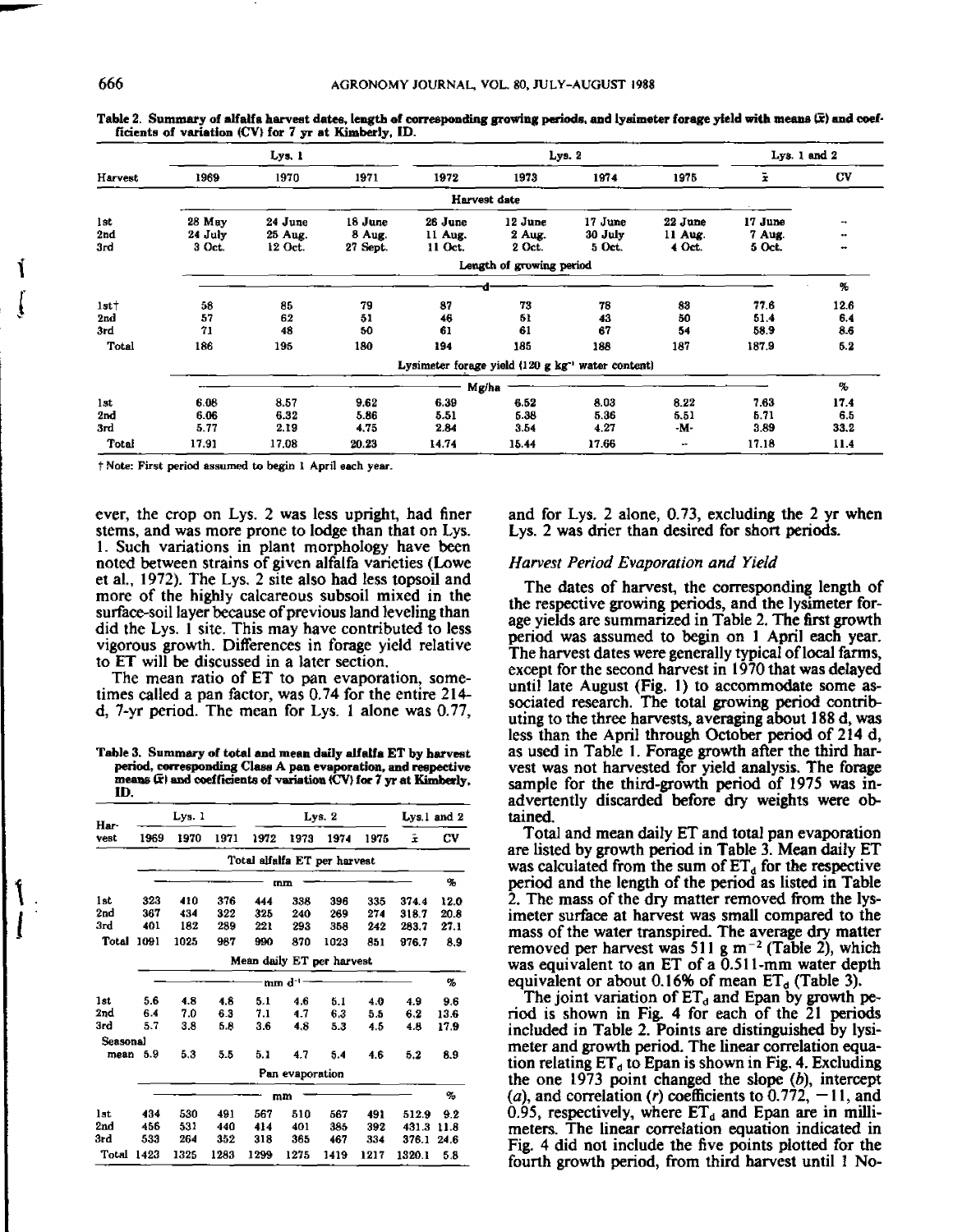|                 | Lys. 1  |         |          | Lys. 2  |                          |                                                                 |         | Lys. 1 and 2 |           |
|-----------------|---------|---------|----------|---------|--------------------------|-----------------------------------------------------------------|---------|--------------|-----------|
| Harvest         | 1969    | 1970    | 1971     | 1972    | 1973                     | 1974                                                            | 1975    | ž.           | CV        |
|                 |         |         |          |         | Harvest date             |                                                                 |         |              |           |
| 1st             | 28 May  | 24 June | 18 June  | 26 June | 12 June                  | 17 June                                                         | 22 June | 17 June      | ۰.        |
| 2nd             | 24 July | 25 Aug. | 8 Aug.   | 11 Aug. | 2 Aug.                   | 30 July                                                         | 11 Aug. | 7 Aug.       | $\bullet$ |
| 3rd             | 3 Oct.  | 12 Oct. | 27 Sept. | 11 Oct. | 2 Oct.                   | 5 Oct.                                                          | 4 Oct.  | 5 Oct.       |           |
|                 |         |         |          |         | Length of growing period |                                                                 |         |              |           |
|                 |         |         |          |         |                          |                                                                 |         |              | ч.        |
| 1st             | 58      | 85      | 79       | 87      | 73                       | 78                                                              | 83      | 77.6         | 12.6      |
| 2nd             | 57      | 62      | 51       | 46      | 61                       | 43                                                              | 50      | 51.4         | 6.4       |
| 3rd             | 71      | 48      | 50       | 61      | 61                       | 67                                                              | 54      | 58.9         | 8.6       |
| <b>Total</b>    | 186     | 195     | 180      | 194     | 185                      | 188                                                             | 187     | 187.9        | 5.2       |
|                 |         |         |          |         |                          | Lysimeter forage yield $(120 \text{ g kg}^{-1})$ water content) |         |              |           |
|                 | Mg/ha   |         |          |         |                          |                                                                 |         | $\%$         |           |
| 1st             | 6.08    | 8.57    | 9.62     | 6.39    | 6,52                     | 8.03                                                            | 8.22    | 7.63         | 17.4      |
| 2 <sub>rd</sub> | 6.06    | 6.32    | 5.86     | 5.51    | 5.38                     | 5.36                                                            | 5.51    | 5.71         | 6.5       |
| 3rd             | 5.77    | 2.19    | 4.75     | 2.84    | 3.54                     | 4.27                                                            | -м-     | 3.89         | 33.2      |
| Total           | 17.91   | 17.08   | 20.23    | 14.74   | 15.44                    | 17.66                                                           | $\sim$  | 17.18        | 11.4      |

Table 2. Summary of alfalfa harvest dates, length of corresponding growing periods, and lysimeter forage yield with means (F) and coef**ficients of variation (CV) for 7 yr at Kimberly, ID.**

**t Note: First period assumed to begin I April each year.**

ever, the crop on Lys. 2 was less upright, had finer stems, and was more prone to lodge than that on Lys. 1. Such variations in plant morphology have been noted between strains of given alfalfa varieties (Lowe et al., 1972). The Lys. 2 site also had less topsoil and more of the highly calcareous subsoil mixed in the surface-soil layer because of previous land leveling than did the Lys. 1 site. This may have contributed to less vigorous growth. Differences in forage yield relative to ET will be discussed in a later section.

The mean ratio of ET to pan evaporation, sometimes called a pan factor, was 0.74 for the entire 214 d, 7-yr period. The mean for Lys. 1 alone was 0.77,

**Table 3. Summary of total and mean daily alfalfa ET by harvest period, corresponding Claw A pan evaporation, and respective means al and coefficients of variation (CV) for 7 yr at Kimberly, ID.**

| Har-<br>vest | Lys. 1                    |      |      | Lvs. 2                       |                 |      |      | $Lys.1$ and $2$ |      |  |
|--------------|---------------------------|------|------|------------------------------|-----------------|------|------|-----------------|------|--|
|              | 1969                      | 1970 | 1971 | 1972                         | 1973            | 1974 | 1975 | ż               | CV   |  |
|              |                           |      |      | Total alfalfa ET per harvest |                 |      |      |                 |      |  |
|              | mm                        |      |      |                              |                 |      |      |                 | ٩.   |  |
| 1st          | 323                       | 410  | 376  | 444                          | 338             | 396  | 335  | 374.4           | 12.0 |  |
| 2nd          | 367                       | 434  | 322  | 325                          | 240             | 269  | 274  | 318.7           | 20.8 |  |
| Зrd          | 401                       | 182  | 289  | 221                          | 293             | 358  | 242  | 283.7           | 27.1 |  |
| Total        | 1091                      | 1025 | 987  | 990                          | 870             | 1023 | 851  | 976.7           | 8,9  |  |
|              | Mean daily ET per harvest |      |      |                              |                 |      |      |                 |      |  |
|              |                           |      |      |                              | mm d '          |      |      |                 | %    |  |
| 1st          | 5.6                       | 4.8  | 4.8  | 5.1                          | 4.6             | 5.1  | 4.0  | 4.9             | 9.6  |  |
| 2nd          | 6.4                       | 7.0  | 6.3  | 7.1                          | 4.7             | 6.3  | 5.5  | 6.2             | 13.6 |  |
| 3rd          | 5.7                       | 3.8  | 6.8  | 3.6                          | 4.8             | 5.3  | 4.5  | 4.8             | 17.9 |  |
| Seasonal     |                           |      |      |                              |                 |      |      |                 |      |  |
|              | mean 5.9                  | 5.3  | 5.5  | 5.1                          | 4.7             | 5.4  | 4.6  | 5.2             | 8.9  |  |
|              |                           |      |      |                              | Pan evaporation |      |      |                 |      |  |
|              |                           | mm   |      |                              |                 |      |      |                 | %    |  |
| lst          | 434                       | 530  | 491  | 567                          | 510             | 567  | 491  | 512.9           | 9.2  |  |
| 2nd          | 456                       | 531  | 440  | 414                          | 401             | 385  | 392  | 431.3           | 11.8 |  |
| 3rd          | 533                       | 264  | 352  | 318                          | 365             | 467  | 334  | 376.1           | 24.6 |  |
| Total        | 1423                      | 1325 | 1283 | 1299                         | 1275            | 1419 | 1217 | 1320.1          | 5.8  |  |

and for Lys. 2 alone, 0.73, excluding the 2 yr when Lys. 2 was drier than desired for short periods.

## *Harvest Period Evaporation and Yield*

The dates of harvest, the corresponding length of the respective growing periods, and the lysimeter forage yields are summarized in Table 2. The first growth period was assumed to begin on 1 April each year. The harvest dates were generally typical of local farms, except for the second harvest in 1970 that was delayed until late August (Fig. 1) to accommodate some associated research. The total growing period contributing to the three harvests, averaging about 188 d, was less than the April through October period of 214 d, as used in Table 1. Forage growth after the third harvest was not harvested for yield analysis. The forage sample for the third-growth period of 1975 was inadvertently discarded before dry weights were obtained.

Total and mean daily ET and total pan evaporation are listed by growth period in Table 3. Mean daily ET was calculated from the sum of  $ET_d$  for the respective period and the length of the period as listed in Table 2. The mass of the dry matter removed from the lysimeter surface at harvest was small compared to the mass of the water transpired. The average dry matter removed per harvest was 511 g  $m^{-2}$  (Table 2), which was equivalent to an ET of a 0.511-mm water depth equivalent or about 0.16% of mean  $ET_d$  (Table 3).

The joint variation of  $ET_d$  and Epan by growth period is shown in Fig. 4 for each of the 21 periods included in Table 2. Points are distinguished by lysimeter and growth period. The linear correlation equation relating  $ET<sub>d</sub>$  to Epan is shown in Fig. 4. Excluding the one 1973 point changed the slope  $(b)$ , intercept  $(a)$ , and correlation  $(r)$  coefficients to 0.772,  $-11$ , and 0.95, respectively, where  $ET_d$  and Epan are in millimeters. The linear correlation equation indicated in Fig. 4 did not include the five points plotted for the fourth growth period, from third harvest until 1 No-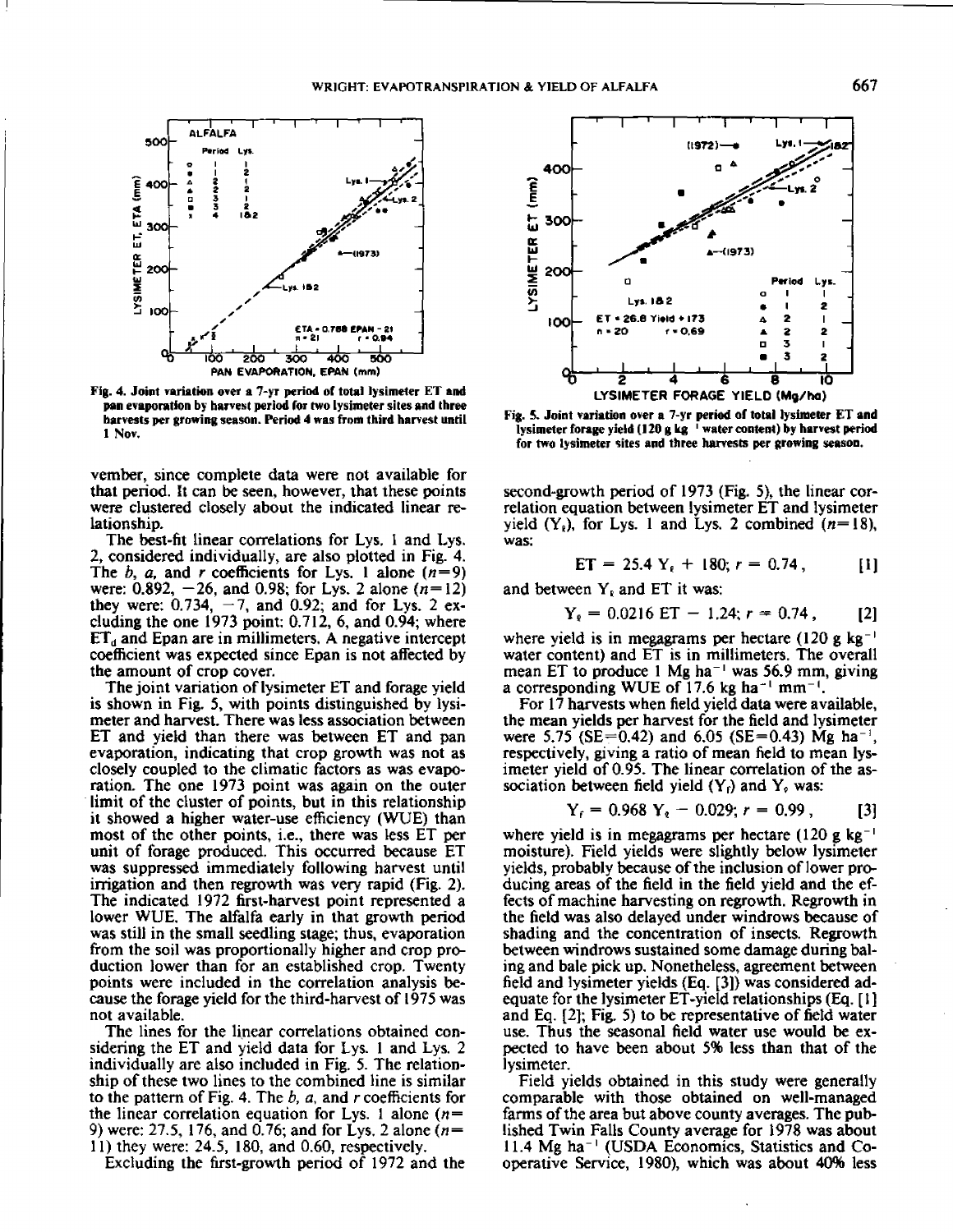

**Fig. 4. Joint variation over a 7-yr period of total lysimeter ET and pan evaporation by harvest period for two lysimeter sites and three harvests per growing season. Period 4 was from third harvest until 1 Nov.**

vember, since complete data were not available for that period. It can be seen, however, that these points were clustered closely about the indicated linear relationship.

The best-fit linear correlations for Lys. I and Lys. 2, considered individually, are also plotted in Fig. 4. The  $b$ ,  $a$ , and  $r$  coefficients for Lys. 1 alone  $(n=9)$ were: 0.892, —26, and 0.98; for Lys. 2 alone *(n=12)* they were: 0.734, *—7,* and 0.92; and for Lys. 2 excluding the one 1973 point: 0.712, 6, and 0.94; where  $ET_d$  and Epan are in millimeters. A negative intercept coefficient was expected since Epan is not affected by the amount of crop cover.

The joint variation of lysimeter ET and forage yield is shown in Fig. 5, with points distinguished by lysimeter and harvest. There was less association between ET and yield than there was between ET and pan evaporation, indicating that crop growth was not as closely coupled to the climatic factors as was evaporation. The one 1973 point was again on the outer limit of the cluster of points, but in this relationship it showed a higher water-use efficiency (WUE) than most of the other points, i.e., there was less ET per unit of forage produced. This occurred because ET was suppressed immediately following harvest until irrigation and then regrowth was very rapid (Fig. 2). The indicated 1972 first-harvest point represented a lower WUE. The *alfalfa* early in that growth period was still in the small seedling stage; thus, evaporation from the soil was proportionally higher and crop production lower than for an established crop. Twenty points were included in the correlation analysis because the forage yield for the third-harvest of 1975 was not available.

The lines for the linear correlations obtained considering the ET and yield data for Lys. 1 and Lys. 2 individually are also included in Fig. 5. The relationship of these two lines to the combined line is similar to the pattern of Fig. 4. The *b, a,* and *r* coefficients for the linear correlation equation for Lys. 1 alone *(n= 9)* were: 27.5, 176, and 0.76; and for Lys. 2 alone *(n=* 11) they were: 24.5, 180, and 0.60, respectively.

Excluding the first-growth period of 1972 and the



**Fig. S. Joint variation over a 7-yr period of total lysimeter ET and lysimeter forage yield (120 g kg ' water content) by harvest period for two lysimeter sites and three harvests per growing season.**

second-growth period of 1973 (Fig. 5), the linear correlation equation between lysimeter ET and lysimeter yield  $(Y_k)$ , for Lys. 1 and Lys. 2 combined  $(n=18)$ , was:

$$
ET = 25.4 Y_{\ell} + 180; r = 0.74, [1]
$$

and between  $Y_k$  and ET it was:

$$
Y_{\ell} = 0.0216 \text{ ET} - 1.24; r = 0.74, \qquad [2]
$$

where yield is in megagrams per hectare (120 g kg<sup>-1</sup>) water content) and ET is in millimeters. The overall mean ET to produce 1 Mg ha<sup> $-1$ </sup> was 56.9 mm, giving *a* corresponding WUE of 17.6 kg ha<sup>-1</sup> mm<sup>-1</sup>.

For 17 harvests when field yield data were available, the mean yields per harvest for the field and lysimeter were 5.75 (SE=0.42) and 6.05 (SE=0.43) Mg ha<sup>-1</sup>, respectively, giving a ratio of mean field to mean lysimeter yield of 0.95. The linear correlation of the association between field yield  $(Y_i)$  and  $Y_i$  was:

$$
Y_r = 0.968 Y_s - 0.029; r = 0.99, \qquad [3]
$$

where yield is in megagrams per hectare  $(120 \text{ g kg}^{-1})$ moisture). Field yields were slightly below lysimeter yields, probably because of the inclusion of lower producing areas of the field in the field yield and the effects of machine harvesting on regrowth. Regrowth in the field was also delayed under windrows because of shading and the concentration of insects. Regrowth between windrows sustained some damage during baling and bale pick up. Nonetheless, agreement between field and lysimeter yields (Eq. [3]) was considered adequate for the lysimeter ET-yield relationships (Eq. [I ] and Eq. [2]; Fig. 5) to be representative of field water use. Thus the seasonal field water use would be expected to have been about 5% less than that of the lysimeter.

Field yields obtained in this study were generally comparable with those obtained on well-managed farms of the area but above county averages. The published Twin Falls County average for 1978 was about 11.4 Mg ha<sup>-1</sup> (USDA Economics, Statistics and Cooperative Service, 1980), which was about 40% less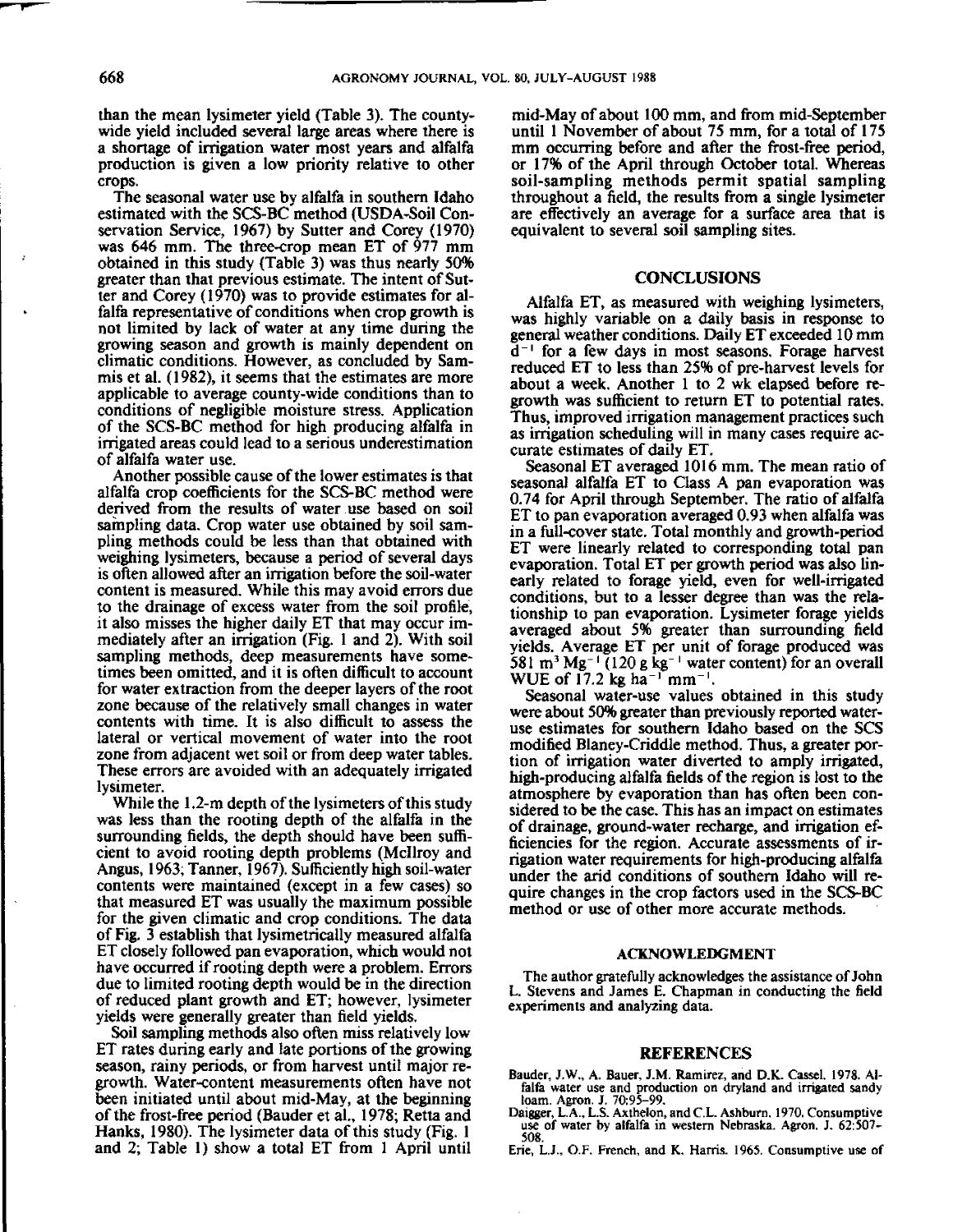than the mean lysimeter yield (Table 3). The countywide yield **included several** large **areas where there is a shortage** of irrigation water most years and alfalfa production is given a low priority relative to other crops.

The seasonal water use by alfalfa in southern Idaho estimated with the SCS-BC method (USDA-Soil Conservation Service, 1967) by Sutter and Corey (1970) was 646 mm. The three-crop mean ET of 977 mm obtained in this study (Table 3) was thus nearly 50% greater than that previous estimate. The intent of Sutter and Corey (1970) was to provide estimates for alfalfa representative of conditions when crop growth is not limited by lack of water at any time during the growing season and growth is mainly dependent on climatic conditions. However, as concluded by Sammis et al. (1982), it seems that the estimates are more applicable to average county-wide conditions than to conditions of negligible moisture stress. Application of the SCS-BC method for high producing alfalfa in irrigated areas could lead to a serious underestimation of alfalfa water use.

Another possible cause of the lower estimates is that alfalfa crop coefficients for the SCS-BC method were derived from the results of water use based on soil sampling data. Crop water use obtained by soil sampling methods could be less than that obtained with weighing lysimeters, because a period of several days is often allowed after an irrigation before the soil-water content is measured. While this may avoid errors due to the drainage of excess water from the soil profile, it also misses the higher daily ET that may occur immediately after an irrigation (Fig. 1 and 2). With soil sampling methods, deep measurements have sometimes been omitted, and it is often difficult to account for water extraction from the deeper layers of the root zone because of the relatively small changes in water contents with time. It is also difficult to assess the lateral or vertical movement of water into the root zone from adjacent wet soil or from deep water tables. These errors are avoided with an adequately irrigated lysimeter.

While the 1.2-m depth of the lysimeters of this study was less than the rooting depth of the alfalfa in the surrounding fields, the depth should have been sufficient to avoid rooting depth problems (McIlroy and Angus, 1963; Tanner, 1967). Sufficiently high soil-water contents were maintained (except in a few cases) so that measured ET was usually the maximum possible for the given climatic and crop conditions. The data of Fig. 3 establish that lysimetrically measured alfalfa ET closely followed pan evaporation, which would not have occurred if rooting depth were a problem. Errors due to limited rooting depth would be in the direction of reduced plant growth and ET; however, lysimeter yields were generally greater than field yields.

Soil sampling methods also often miss relatively low ET rates during early and late portions of the growing season, rainy periods, or from harvest until major regrowth. Water-content measurements often have not been initiated until about mid-May, at the beginning of the frost-free period (Bauder et al., 1978; Retta and Hanks, 1980). The lysimeter data of this study (Fig. 1 and 2; Table 1) show a total ET from 1 April until

mid-May of about 100 mm, and from mid-September until 1 November of about 75 mm, for a total of 175 mm occurring before and after the frost-free period, or 17% of the April through October total. Whereas soil-sampling methods permit spatial sampling throughout a field, the results from a single lysimeter are effectively an average for a surface area that is equivalent to several soil sampling sites.

#### **CONCLUSIONS**

Alfalfa ET, as measured with weighing lysimeters, was highly variable on *a daily* basis in response to general weather conditions. Daily ET exceeded 10 mm  $d^{-1}$  for a few days in most seasons. Forage harvest reduced ET to less than 25% of pre-harvest levels for about a week. Another 1 to 2 wk elapsed before regrowth was sufficient to return ET to potential rates. Thus, improved irrigation management practices such as irrigation scheduling will in many cases require accurate estimates of daily ET.

Seasonal ET averaged 1016 mm. The mean ratio of seasonal alfalfa ET to Class A pan evaporation was 0.74 for April through September. The ratio of alfalfa ET to pan evaporation averaged 0.93 when alfalfa was in a full-cover state. Total monthly and growth-period ET were linearly related to corresponding total pan evaporation. Total ET per growth period was also linearly related to forage yield, even for well-irrigated conditions, but to a lesser degree than was the relationship to pan evaporation. Lysimeter forage yields averaged about 5% greater than surrounding field yields. Average ET per unit of forage produced was 581 m<sup>3</sup> Mg<sup>-1</sup> (120 g kg<sup>-1</sup> water content) for an overall WUE of  $17.2$  kg ha<sup>-1</sup> mm<sup>-</sup>

Seasonal water-use values obtained in this study were about 50% greater than previously reported wateruse estimates for southern Idaho based on the SCS modified Blaney-Criddle method. Thus, a greater portion of irrigation water diverted to amply irrigated, high-producing alfalfa fields of the region is lost to the atmosphere by evaporation than has often been considered to be the case. This has an impact on estimates of drainage, ground-water recharge, and irrigation efficiencies for the region. Accurate assessments of irrigation water requirements for high-producing alfalfa under the and conditions of southern Idaho will require changes in the crop factors used in the SCS-BC method or use of other more accurate methods.

#### ACKNOWLEDGMENT

The author gratefully acknowledges the assistance of John L. Stevens and James E. Chapman in conducting the field experiments and analyzing data.

## REFERENCES

- Bauder, J.W., A. Bauer, J.M. Ramirez, and D.K. Cassel. 1978. Alfalfa water use and production on dryland and irrigated sandy loam. Agron. J. 70:95-99. Daigger, L.A., L.S. Axthelon, and C.L. Ashburn, 1970. Consumptive
- use of water by alfalfa in western Nebraska. Agron. J. 62:507- 508.
- Erie, L.J., O.F. French, and K. Harris. 1965. Consumptive use of